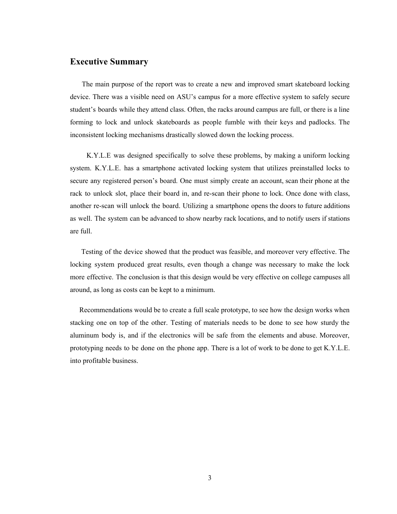### <span id="page-0-0"></span>**Executive Summary**

The main purpose of the report was to create a new and improved smart skateboard locking device. There was a visible need on ASU's campus for a more effective system to safely secure student's boards while they attend class. Often, the racks around campus are full, or there is a line forming to lock and unlock skateboards as people fumble with their keys and padlocks. The inconsistent locking mechanisms drastically slowed down the locking process.

K.Y.L.E was designed specifically to solve these problems, by making a uniform locking system. K.Y.L.E. has a smartphone activated locking system that utilizes preinstalled locks to secure any registered person's board. One must simply create an account, scan their phone at the rack to unlock slot, place their board in, and re-scan their phone to lock. Once done with class, another re-scan will unlock the board. Utilizing a smartphone opens the doors to future additions as well. The system can be advanced to show nearby rack locations, and to notify users if stations are full.

Testing of the device showed that the product was feasible, and moreover very effective. The locking system produced great results, even though a change was necessary to make the lock more effective. The conclusion is that this design would be very effective on college campuses all around, as long as costs can be kept to a minimum.

Recommendations would be to create a full scale prototype, to see how the design works when stacking one on top of the other. Testing of materials needs to be done to see how sturdy the aluminum body is, and if the electronics will be safe from the elements and abuse. Moreover, prototyping needs to be done on the phone app. There is a lot of work to be done to get K.Y.L.E. into profitable business.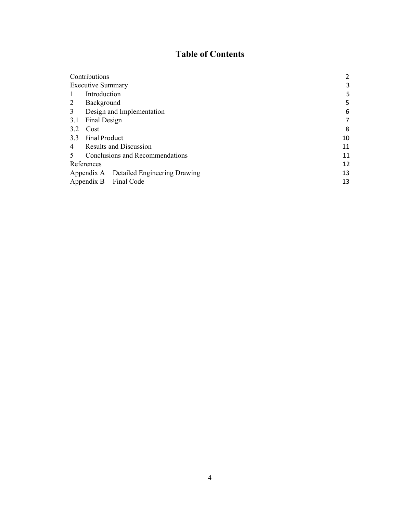# **Table of Contents**

| Contributions                                               |    |
|-------------------------------------------------------------|----|
| <b>Executive Summary</b>                                    | 3  |
| Introduction                                                | 5  |
| 2<br>Background                                             | 5  |
| 3<br>Design and Implementation                              | 6  |
| Final Design<br>3.1                                         | 7  |
| 3.2<br>Cost                                                 | 8  |
| 3.3<br><b>Final Product</b>                                 | 10 |
| <b>Results and Discussion</b><br>4                          | 11 |
| Conclusions and Recommendations<br>$\overline{\mathcal{L}}$ | 11 |
| References                                                  | 12 |
| Appendix A Detailed Engineering Drawing                     | 13 |
| Appendix B Final Code                                       | 13 |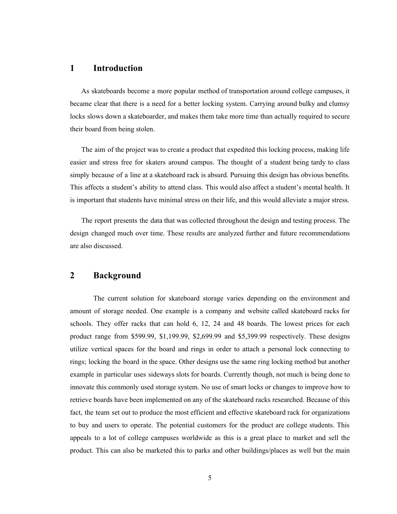### <span id="page-2-0"></span>**1 Introduction**

As skateboards become a more popular method of transportation around college campuses, it became clear that there is a need for a better locking system. Carrying around bulky and clumsy locks slows down a skateboarder, and makes them take more time than actually required to secure their board from being stolen.

The aim of the project was to create a product that expedited this locking process, making life easier and stress free for skaters around campus. The thought of a student being tardy to class simply because of a line at a skateboard rack is absurd. Pursuing this design has obvious benefits. This affects a student's ability to attend class. This would also affect a student's mental health. It is important that students have minimal stress on their life, and this would alleviate a major stress.

The report presents the data that was collected throughout the design and testing process. The design changed much over time. These results are analyzed further and future recommendations are also discussed.

### <span id="page-2-1"></span>**2 Background**

The current solution for skateboard storage varies depending on the environment and amount of storage needed. One example is a company and website called skateboard racks for schools. They offer racks that can hold 6, 12, 24 and 48 boards. The lowest prices for each product range from \$599.99, \$1,199.99, \$2,699.99 and \$5,399.99 respectively. These designs utilize vertical spaces for the board and rings in order to attach a personal lock connecting to rings; locking the board in the space. Other designs use the same ring locking method but another example in particular uses sideways slots for boards. Currently though, not much is being done to innovate this commonly used storage system. No use of smart locks or changes to improve how to retrieve boards have been implemented on any of the skateboard racks researched. Because of this fact, the team set out to produce the most efficient and effective skateboard rack for organizations to buy and users to operate. The potential customers for the product are college students. This appeals to a lot of college campuses worldwide as this is a great place to market and sell the product. This can also be marketed this to parks and other buildings/places as well but the main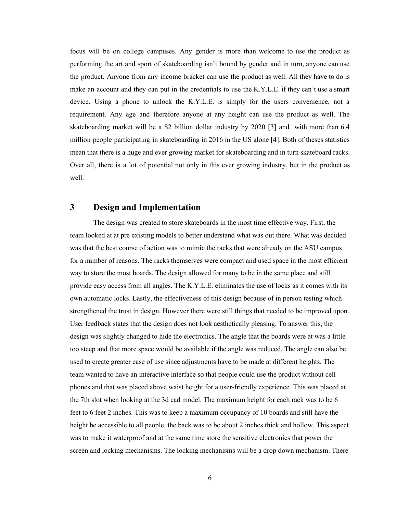focus will be on college campuses. Any gender is more than welcome to use the product as performing the art and sport of skateboarding isn't bound by gender and in turn, anyone can use the product. Anyone from any income bracket can use the product as well. All they have to do is make an account and they can put in the credentials to use the K.Y.L.E. if they can't use a smart device. Using a phone to unlock the K.Y.L.E. is simply for the users convenience, not a requirement. Any age and therefore anyone at any height can use the product as well. The skateboarding market will be a \$2 billion dollar industry by 2020 [3] and with more than 6.4 million people participating in skateboarding in 2016 in the US alone [4]. Both of theses statistics mean that there is a huge and ever growing market for skateboarding and in turn skateboard racks. Over all, there is a lot of potential not only in this ever growing industry, but in the product as well.

### <span id="page-3-0"></span>**3 Design and Implementation**

The design was created to store skateboards in the most time effective way. First, the team looked at at pre existing models to better understand what was out there. What was decided was that the best course of action was to mimic the racks that were already on the ASU campus for a number of reasons. The racks themselves were compact and used space in the most efficient way to store the most boards. The design allowed for many to be in the same place and still provide easy access from all angles. The K.Y.L.E. eliminates the use of locks as it comes with its own automatic locks. Lastly, the effectiveness of this design because of in person testing which strengthened the trust in design. However there were still things that needed to be improved upon. User feedback states that the design does not look aesthetically pleasing. To answer this, the design was slightly changed to hide the electronics. The angle that the boards were at was a little too steep and that more space would be available if the angle was reduced. The angle can also be used to create greater ease of use since adjustments have to be made at different heights. The team wanted to have an interactive interface so that people could use the product without cell phones and that was placed above waist height for a user-friendly experience. This was placed at the 7th slot when looking at the 3d cad model. The maximum height for each rack was to be 6 feet to 6 feet 2 inches. This was to keep a maximum occupancy of 10 boards and still have the height be accessible to all people. the back was to be about 2 inches thick and hollow. This aspect was to make it waterproof and at the same time store the sensitive electronics that power the screen and locking mechanisms. The locking mechanisms will be a drop down mechanism. There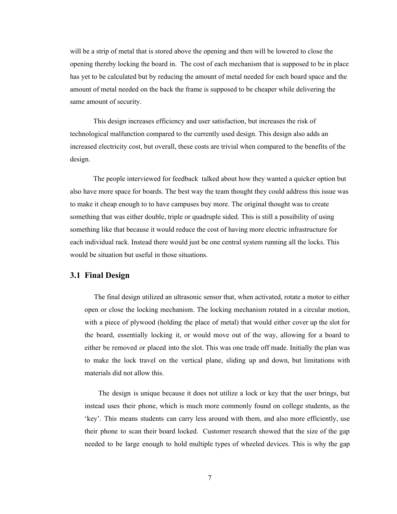will be a strip of metal that is stored above the opening and then will be lowered to close the opening thereby locking the board in. The cost of each mechanism that is supposed to be in place has yet to be calculated but by reducing the amount of metal needed for each board space and the amount of metal needed on the back the frame is supposed to be cheaper while delivering the same amount of security.

This design increases efficiency and user satisfaction, but increases the risk of technological malfunction compared to the currently used design. This design also adds an increased electricity cost, but overall, these costs are trivial when compared to the benefits of the design.

The people interviewed for feedback talked about how they wanted a quicker option but also have more space for boards. The best way the team thought they could address this issue was to make it cheap enough to to have campuses buy more. The original thought was to create something that was either double, triple or quadruple sided. This is still a possibility of using something like that because it would reduce the cost of having more electric infrastructure for each individual rack. Instead there would just be one central system running all the locks. This would be situation but useful in those situations.

#### <span id="page-4-0"></span>**3.1 Final Design**

The final design utilized an ultrasonic sensor that, when activated, rotate a motor to either open or close the locking mechanism. The locking mechanism rotated in a circular motion, with a piece of plywood (holding the place of metal) that would either cover up the slot for the board, essentially locking it, or would move out of the way, allowing for a board to either be removed or placed into the slot. This was one trade off made. Initially the plan was to make the lock travel on the vertical plane, sliding up and down, but limitations with materials did not allow this.

The design is unique because it does not utilize a lock or key that the user brings, but instead uses their phone, which is much more commonly found on college students, as the 'key'. This means students can carry less around with them, and also more efficiently, use their phone to scan their board locked. Customer research showed that the size of the gap needed to be large enough to hold multiple types of wheeled devices. This is why the gap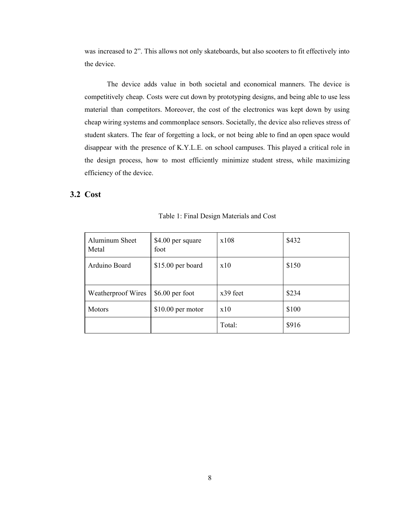was increased to 2". This allows not only skateboards, but also scooters to fit effectively into the device.

The device adds value in both societal and economical manners. The device is competitively cheap. Costs were cut down by prototyping designs, and being able to use less material than competitors. Moreover, the cost of the electronics was kept down by using cheap wiring systems and commonplace sensors. Societally, the device also relieves stress of student skaters. The fear of forgetting a lock, or not being able to find an open space would disappear with the presence of K.Y.L.E. on school campuses. This played a critical role in the design process, how to most efficiently minimize student stress, while maximizing efficiency of the device.

### <span id="page-5-0"></span>**3.2 Cost**

| Aluminum Sheet<br>Metal | \$4.00 per square<br>foot | x108     | \$432 |
|-------------------------|---------------------------|----------|-------|
| Arduino Board           | \$15.00 per board         | x10      | \$150 |
| Weatherproof Wires      | $$6.00$ per foot          | x39 feet | \$234 |
| <b>Motors</b>           | $$10.00$ per motor        | x10      | \$100 |
|                         |                           | Total:   | \$916 |

Table 1: Final Design Materials and Cost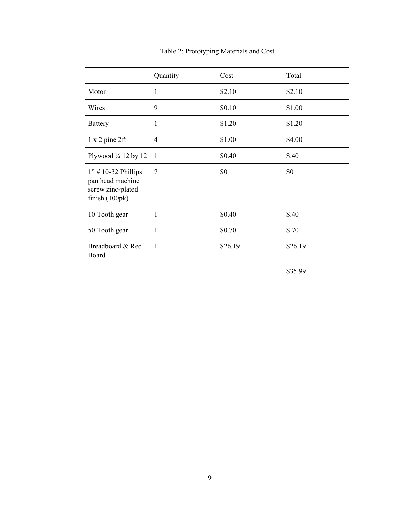<span id="page-6-0"></span>

|                                                                                    | Quantity     | Cost    | Total   |
|------------------------------------------------------------------------------------|--------------|---------|---------|
| Motor                                                                              | 1            | \$2.10  | \$2.10  |
| Wires                                                                              | 9            | \$0.10  | \$1.00  |
| <b>Battery</b>                                                                     | $\mathbf{1}$ | \$1.20  | \$1.20  |
| $1 x 2 p$ ine $2 ft$                                                               | 4            | \$1.00  | \$4.00  |
| Plywood $\frac{1}{4}$ 12 by 12                                                     | $\mathbf{1}$ | \$0.40  | \$.40   |
| $1"$ # 10-32 Phillips<br>pan head machine<br>screw zinc-plated<br>finish $(100pk)$ | 7            | \$0     | \$0     |
| 10 Tooth gear                                                                      | 1            | \$0.40  | \$.40   |
| 50 Tooth gear                                                                      | $\mathbf{1}$ | \$0.70  | \$.70   |
| Breadboard & Red<br>Board                                                          | 1            | \$26.19 | \$26.19 |
|                                                                                    |              |         | \$35.99 |

## Table 2: Prototyping Materials and Cost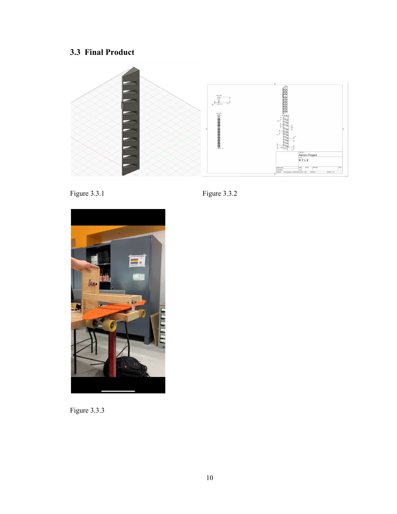# **3.3 Final Product**







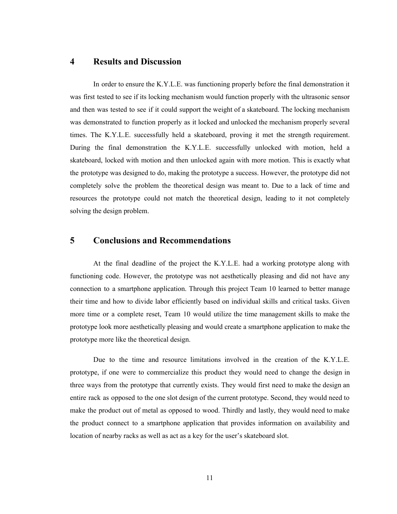### **4 Results and Discussion**

In order to ensure the K.Y.L.E. was functioning properly before the final demonstration it was first tested to see if its locking mechanism would function properly with the ultrasonic sensor and then was tested to see if it could support the weight of a skateboard. The locking mechanism was demonstrated to function properly as it locked and unlocked the mechanism properly several times. The K.Y.L.E. successfully held a skateboard, proving it met the strength requirement. During the final demonstration the K.Y.L.E. successfully unlocked with motion, held a skateboard, locked with motion and then unlocked again with more motion. This is exactly what the prototype was designed to do, making the prototype a success. However, the prototype did not completely solve the problem the theoretical design was meant to. Due to a lack of time and resources the prototype could not match the theoretical design, leading to it not completely solving the design problem.

### <span id="page-8-0"></span>**5 Conclusions and Recommendations**

At the final deadline of the project the K.Y.L.E. had a working prototype along with functioning code. However, the prototype was not aesthetically pleasing and did not have any connection to a smartphone application. Through this project Team 10 learned to better manage their time and how to divide labor efficiently based on individual skills and critical tasks. Given more time or a complete reset, Team 10 would utilize the time management skills to make the prototype look more aesthetically pleasing and would create a smartphone application to make the prototype more like the theoretical design.

Due to the time and resource limitations involved in the creation of the K.Y.L.E. prototype, if one were to commercialize this product they would need to change the design in three ways from the prototype that currently exists. They would first need to make the design an entire rack as opposed to the one slot design of the current prototype. Second, they would need to make the product out of metal as opposed to wood. Thirdly and lastly, they would need to make the product connect to a smartphone application that provides information on availability and location of nearby racks as well as act as a key for the user's skateboard slot.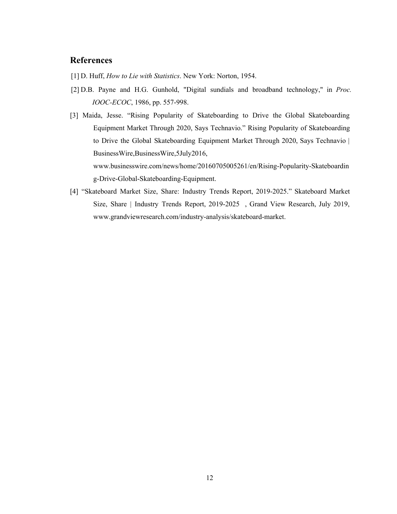### **References**

- [1] D. Huff, *How to Lie with Statistics*. New York: Norton, 1954.
- [2] D.B. Payne and H.G. Gunhold, "Digital sundials and broadband technology," in *Proc. IOOC-ECOC*, 1986, pp. 557-998.
- [3] Maida, Jesse. "Rising Popularity of Skateboarding to Drive the Global Skateboarding Equipment Market Through 2020, Says Technavio." Rising Popularity of Skateboarding to Drive the Global Skateboarding Equipment Market Through 2020, Says Technavio | BusinessWire,BusinessWire,5July2016, www.businesswire.com/news/home/20160705005261/en/Rising-Popularity-Skateboardin g-Drive-Global-Skateboarding-Equipment.
- [4] "Skateboard Market Size, Share: Industry Trends Report, 2019-2025." Skateboard Market Size, Share | Industry Trends Report, 2019-2025 , Grand View Research, July 2019, www.grandviewresearch.com/industry-analysis/skateboard-market.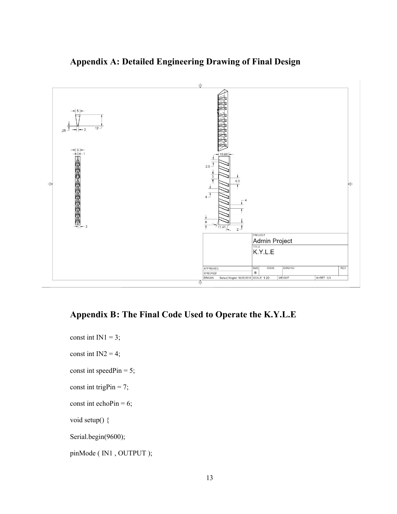

# <span id="page-10-0"></span>**Appendix A: Detailed Engineering Drawing of Final Design**

## <span id="page-10-1"></span>**Appendix B: The Final Code Used to Operate the K.Y.L.E**

const int  $IN1 = 3$ ; const int  $IN2 = 4$ ; const int speedPin =  $5$ ; const int trigPin = 7; const int echoPin =  $6$ ; void setup() { Serial.begin(9600); pinMode ( IN1 , OUTPUT );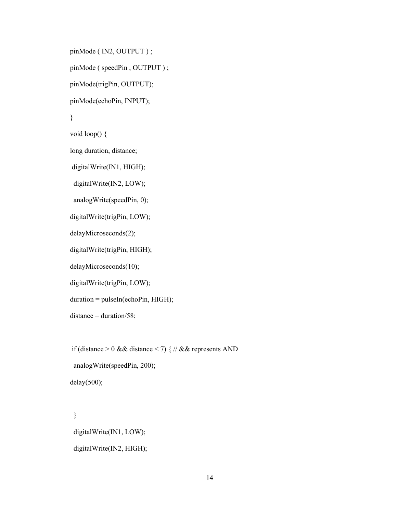pinMode ( IN2, OUTPUT ) ;

pinMode ( speedPin , OUTPUT ) ;

pinMode(trigPin, OUTPUT);

pinMode(echoPin, INPUT);

### }

void loop() {

long duration, distance;

digitalWrite(IN1, HIGH);

digitalWrite(IN2, LOW);

analogWrite(speedPin, 0);

digitalWrite(trigPin, LOW);

delayMicroseconds(2);

digitalWrite(trigPin, HIGH);

delayMicroseconds(10);

digitalWrite(trigPin, LOW);

duration = pulseIn(echoPin, HIGH);

 $distance = duration/58$ ;

if (distance  $> 0$  && distance  $< 7$ ) { // && represents AND

analogWrite(speedPin, 200);

 $delay(500);$ 

} digitalWrite(IN1, LOW); digitalWrite(IN2, HIGH);